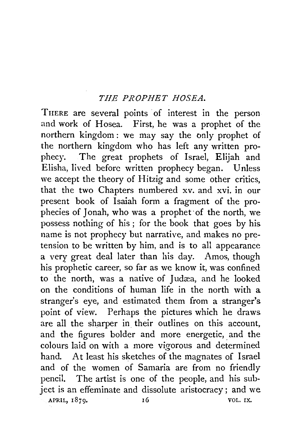## *THE PROPHET HOSEA.*

THERE are several points of interest in the person and work of Hosea. First, he was a prophet of the northern kingdom : we may say the only prophet of the northern kingdom who has left any written prophecy. The great prophets of Israel, Elijah and Elisha, lived before written prophecy began. Unless we accept the theory of Hitzig and some other critics, that the two Chapters numbered xv. and xvi. in our present book of Isaiah form a fragment of the prophecies of Jonah, who was a prophet·of the north, we possess nothing of his ; for the book that goes by his name is not prophecy but narrative, and makes no pretension to be written by him, and is to all appearance a very great deal later than his day. Amos, though his prophetic career, so far as we know it, was confined to the north, was a native of Judæa, and he looked on the conditions of human life in the north with a stranger's eye, and estimated them from a stranger's point of view. Perhaps the pictures which he draws are all the sharper in their outlines on this account, and the figures bolder and more energetic, and the colours laid on with a more vigorous and determined hand. At least his sketches of the magnates of Israel and of the women of Samaria are from no friendly pencil. The artist is one of the people, and his subject is an effeminate and dissolute aristocracy; and we  $\sim$  APRIL, 1879. 16 16 VOL. IX.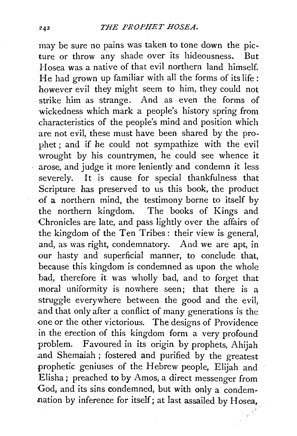may be sure no pains was taken to tone down the picture or throw any shade over its hideousness. But Hosea was a native of that evil northern land himself. He had grown up familiar with all the forms of its life : however evil they might seem to him, they could not strike him as strange. And as even the forms of wickedness which mark a people's history spring from characteristics of the people's mind and position which are not evil, these must have been shared by the prophet ; and if he could not sympathize with the evil wrought by his countrymen, he could see whence it arose, and judge it more leniently and condemn it less severely. It is cause for special thankfulness that Scripture has preserved to us this book, the product of a northern mind, the testimony borne to itself by the northern kingdom. The books of Kings and Chronicles are late, and pass lightly over the affairs of the kingdom of the Ten Tribes: their view is general, and, as was right, condemnatory. And we are apt, in our hasty and superficial manner, to conclude that, because this kingdom is condemned as upon the whole bad, therefore it was wholly bad, and to forget that moral uniformity is nowhere seen; that there is a struggle everywhere between the good and the evil, and that only after a conflict of many generations is the one or the other victorious. The designs of Providence in the erection of this kingdom form a very profound problem. Favoured in its origin by prophets, Ahijah .and Shemaiah ; fostered and purified by the greatest prophetic geniuses of the Hebrew people, Elijah and Elisha ; preached to by Amos, a direct messenger from God, and its sins condemned, but with only a condemnation by inference for itself; at last assailed by Hosea,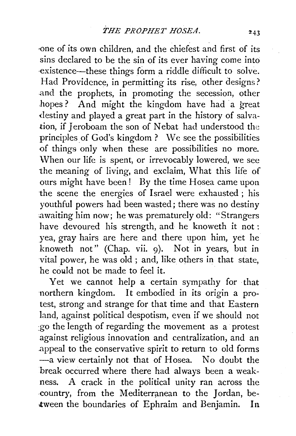·one of its own children, and the chiefest and first of its sins declared to be the sin of its ever having come into -existence-these things form a riddle difficult to solve. Had Providence, in permitting its rise, other designs? and the prophets, in promoting the secession, other hopes? And might the kingdom have had a great destiny and played a great part in the history of salvation, if Jeroboam the son of Nebat had understood the principles of God's kingdom ? We see the possibilities of things only when these are possibilities no more. When our life is spent, or irrevocably lowered, we see the meaning of living, and exclaim, What this life of ours might have been ! By the time Hosea came upon the scene the energies of Israel were exhausted ; his youthful powers had been wasted; there was no destiny awaiting him now; he was prematurely old: "Strangers have devoured his strength, and he knoweth it not : yea, gray hairs are here and there upon him, yet he knoweth not" (Chap. vii. 9). Not in years, but in vital power, he was old ; and, like others in that state, he could not be made to feel it.

Yet we cannot help a certain sympathy for ·that northern kingdom. It embodied in its origin a protest, strong and strange for that time and that Eastern land, against political despotism, even if we should not :go the length of regarding the movement as a protest against religious innovation and centralization, and an appeal to the conservative spirit to return to old forms -a view certainly not that of Hosea. No doubt the break occurred where there had always been a weakness. A crack in the political unity ran across the country, from the Mediterranean to the Jordan, be-~tween the boundaries of Ephraim and Benjamin. In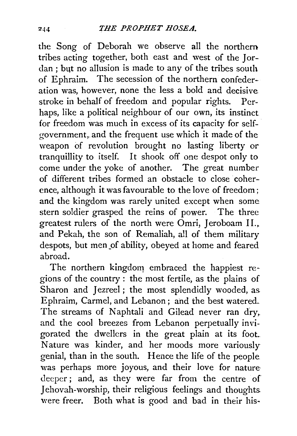the Song of Deborah we observe all the northern tribes acting together, both east and west of the Jordan ; but no allusion is made to any of the tribes south of Ephraim. The secession of the northern confederation was, however, none the less a bold and decisive stroke in behalf of freedom and popular rights. Perhaps, like a political neighbour of our own, its instinct for freedom was much in excess of its capacity for selfgovernment, and the frequent use which it made of the weapon of revolution brought no lasting liberty or tranquillity to itself. It shook off one despot only to come under the yoke of another. The great number of different tribes formed an obstacle to close coherence, although it was favourable to the love of freedom; and the kingdom was rarely united except when some stern soldier grasped the reins of power. The three greatest rulers of the north were Omri, Jeroboam II., and Pekah, the son of Remaliah, all of them military despots, but men\_of ability, obeyed at home and feared abroad.

The northern kingdom embraced the happiest regions of the country : the most fertile, as the plains of Sharon and Jezreel; the most splendidly wooded, as Ephraim, Carmel, and Lebanon; and the best watered. The streams of Naphtali and Gilead never ran dry, and the cool breezes from Lebanon perpetually invigorated the dwellers in the great plain at its foot.. Nature was kinder, and her moods more variously genial, than in the south. Hence the life of the people was perhaps more joyous, and their love for nature deeper ; and, as they were far from the centre of Jehovah-worship, their religious feelings and thoughts were freer. Both what is good and bad in their his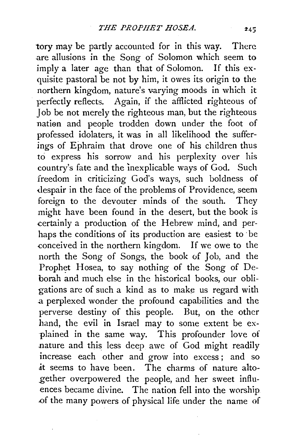tory may be partly accounted for in this way. There .are allusions in the Song of Solomon which seem to imply a later age than that of Solomon. If this exquisite pastoral be not by him, it owes its origin to the northern kingdom, nature's varying moods in which it perfectly reflects. Again, if the afflicted righteous of Job be not merely the righteous man, but the righteous nation and people trodden down under the foot of professed idolaters, it was in all likelihood the sufferings of Ephraim that drove one of his children thus to express his sorrow and his perplexity over his country's fate and the inexplicable ways of God. Such freedom in criticizing God's ways, such boldness of despair in the face of the problems of Providence, seem foreign to the devouter minds of the south. They might have been found in the desert, but the book is .certainly a production of the Hebrew mind, and perhaps the conditions of its production are easiest to ·be .conceived in the northern kingdom. If we owe to the north the Song of Songs, the book uf Job, and the Prophet Hosea, to say nothing of the Song of Deborah and much else in the historical books, our obligations are of such a kind as to make us regard with a perplexed wonder the profound capabilities and the perverse destiny of this people. But, on the other hand, the evil in Israel may to some extent be explained in the same way. This profounder love of nature and this less deep awe of God might readily increase each other and grow into excess ; and so .it seems to have been. The charms of nature altogether overpowered the people, and her sweet influences became divine. The nation fell into the worship. .of the many powers of physical life under the name of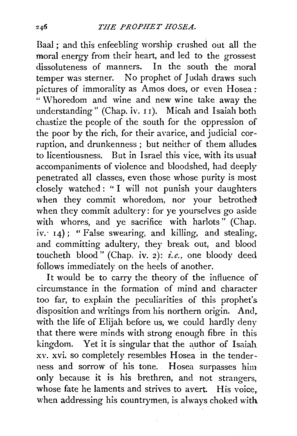Baal ; and this enfeebling worship crushed out all the moral energy from their heart, and led to the grossest dissoluteness of manners. In the south the moral temper was sterner. No prophet of Judah draws such pictures of immorality as Amos does, or even Hosea : " Whoredom and wine and new wine take away the understanding" (Chap. iv. I 1). Micah and Isaiah both chastize the people of the south for the oppression of the poor by the rich, for their avarice, and judicial corruption, and drunkenness ; but neither of them alludes to licentiousness. But in Israel this vice, with its usual accompaniments of violence and bloodshed, had deeply penetrated all classes, even those whose purity is most closely watched : " I will not punish your daughters when they commit whoredom, nor your betrothed when they commit adultery: for ye yourselves go aside with whores, and ye sacrifice with harlots" (Chap. iv.  $\{14\}$ ; "False swearing, and killing, and stealing. and committing adultery, they break out, and blood toucheth blood" (Chap. iv. 2): *i.e.,* one bloody deed follows immediately on the heels of another.

It would be to carry the theory of the influence of circumstance in the formation of mind and character too far, to explain the peculiarities of this prophet's disposition and writings from his northern origin. And. with the life of Elijah before us, we could hardly deny that there were minds with strong enough fibre in this kingdom. Yet it is singular that the author of Isaiah xv. xvi. so completely resembles Hosea in the tenderness and sorrow of his tone. Hosea surpasses him only because it is his brethren, and not strangers, whose fate he laments and strives to avert. His voice, when addressing his countrymen, is always choked with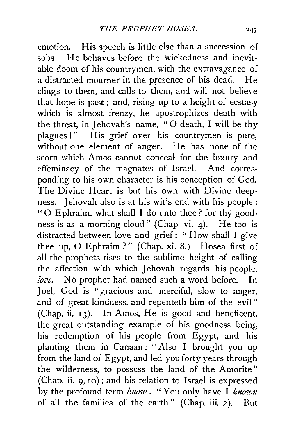emotion. His speech is little else than a succession of sobs He behaves before the wickedness and inevitable doom of his countrymen, with the extravagance of a distracted mourner in the presence of his dead. He clings to them, and calls to them, and will not believe that hope is past ; and, rising up to a height of ecstasy which is almost frenzy, he apostrophizes death with the threat, in Jehovah's name, " $O$  death, I will be thy plagues!" His grief over his countrymen is pure, without one element of anger. He has none of the scorn which Amos cannot conceal for the luxury and effeminacy of the magnates of Israel. And corresponding to his own character is his conception of God. The Divine Heart is but his own with Divine deepness. Jehovah also is at his wit's end with his people : "0 Ephraim, what shall I do unto thee? for thy goodness is as a morning cloud" (Chap. vi. 4). He too is distracted between love and grief: " How shall I give thee up, O Ephraim ?" (Chap. xi. 8.) Hosea first of all the prophets rises to the sublime height of calling the affection with which Jehovah regards his people, *love.* No prophet had named such a word before. In Joel, God is "gracious and merciful, slow to anger, and of great kindness, and repenteth him of the evil " (Chap. ii. 13). In Amos, He is good and beneficent, the great outstanding example of his goodness being his redemption of his people from Egypt, and his planting them in Canaan: "Also I brought you up from the land of Egypt, and led you forty years through the wilderness, to possess the land of the Amorite" (Chap. ii. 9, 10); and his relation to Israel is expressed by the profound term *know :* "You only have I *known* of all the families of the earth" (Chap. iii. 2). But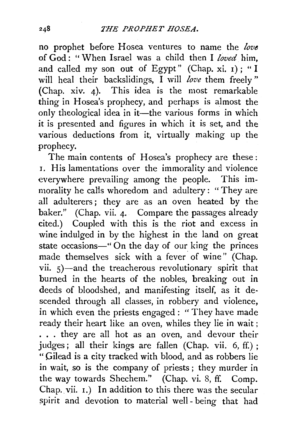no prophet before Hosea ventures to name the *love*  of God : " \Vhen Israel was a child then I *loved* him, and called my son out of Egypt" (Chap. xi. 1); "I will heal their backslidings, I will *love* them freely " (Chap. xiv. 4). This idea is the most remarkable thing in Hosea's prophecy, and perhaps is almost the only theological idea in it-the various forms in which it is presented and figures in which it is set, and the various deductions from it, virtually making up the prophecy.

The main contents of Hosea's prophecy are these : 1. His lamentations over the immorality and violence everywhere prevailing among the people. This immorality he calis whoredom and adultery : " They are all adulterers ; they are as an oven heated by the baker." (Chap. vii. 4. Compare the passages already cited.) Coupled with this is the riot and excess in wine indulged in by the highest in the land on great state occasions-" On the day of our king the princes made themselves sick with a fever of wine" (Chap. vii. 5)-and the treacherous revolutionary spirit that burned in the hearts of the nobles, breaking out in deeds of bloodshed, and manifesting itself, as it descended through all classes, in robbery and violence, in which even the priests engaged : "They have made ready their heart like an oven, whiles they lie in wait; ... they are all hot as an oven, and devour their judges; all their kings are fallen (Chap. vii. 6, ff.) ; "Gilead is a city tracked with blood, and as robbers lie in wait, so is the company of priests ; they murder in the way towards Shechem." (Chap. vi. 8, ff. Comp. Chap. vii. 1.) In addition to this there was the secular spirit and devotion to material well-being that had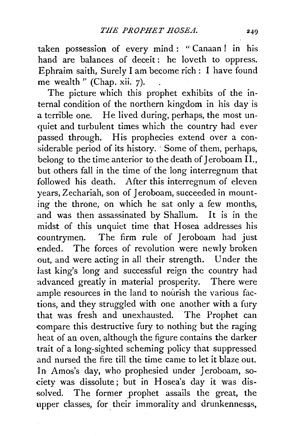taken possession of every mind : " Canaan ! in his hand are balances of deceit: he loveth to oppress. Ephraim saith, Surely I am become rich: I have found me wealth" (Chap. xii. 7).

The picture which this prophet exhibits of the internal condition of the northern kingdom in his day is a terrible one. He lived during, perhaps, the most unquiet and turbulent times which the country had ever passed through. His prophecies extend over a considerable period of its history. Some of them, perhaps, belong to the time anterior to the death of Jeroboam II., but others fall in the time of the long interregnum that followed his death. After this interregnum of eleven years, Zechariah, son of Jeroboam, succeeded in mounting· the throne, on which he sat only a few months, . and was then assassinated by Shallum. It is in the midst of this unquiet time that Hosea addresses his countrymen. The firm rule of Jeroboam had just ended. The forces of revolution were newly broken out, and were acting in ail their strength. Under the last king's long and successful reign the country had advanced greatly in material prosperity. There were ample resources in the land to nourish the various factions, and they struggled with one another with a fury that was fresh and unexhausted. The Prophet can compare this destructive fury to nothing but the raging heat of an oven, although the figure contains the darker trait of a long-sighted scheming policy that suppressed and nursed the fire till the time came to let it blaze out. In Amos's day, who prophesied under Jeroboam, society was dissolute; but in Hosea's day it was dissolved. The former prophet assails the great, the upper classes, for their immorality and drunkennesss,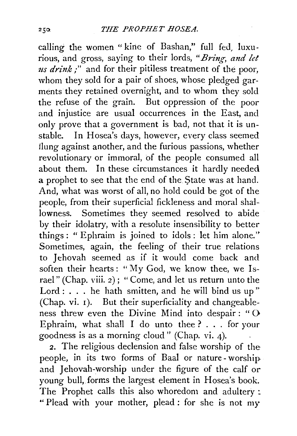calling the women "kine of Bashan," full fed, luxurious, and gross, saying to their lords, *"Bring, and let*  us drink;" and for their pitiless treatment of the poor, whom they sold for a pair of shoes, whose pledged garments they retained overnight, and to whom they sold the refuse of the grain. But oppression of the poor and injustice are usual occurrences in the East, and only prove that a government is bad, not that it is unstable. In Hosea's days, however, every class seemed Hung against another, and the furious passions, whether revolutionary or immoral, of the people consumed all about them. In these circumstances it hardly needed a prophet to see that the end of the State was at hand. And, what was worst of all, no hold could be got of the people, from their superficial fickleness and moral shallowness. Sometimes they seemed resolved to abide by their idolatry, with a resolute insensibility to better things : " Ephraim is joined to idols : let him alone." Sometimes, again, the feeling of their true relations to Jehovah seemed as if it would come back and soften their hearts: "My God, we know thee, we Israel" (Chap. viii. 2); "Come, and let us return unto the Lord :  $\dots$  he hath smitten, and he will bind us up" (Chap. vi. 1). But their superficiality and changeableness threw even the Divine Mind into despair : " 0 Ephraim, what shall I do unto thee  $? \ldots$  for your goodness is as a morning cloud" (Chap. vi. 4).

2. The religious declension and false worship of the people, in its two forms of Baal or nature- worshipand Jehovah-worship under the figure of the calf or young bull, forms the largest element in Hosea's book. The Prophet calls this also whoredom and adultery : " Plead with your mother, plead : for she is not my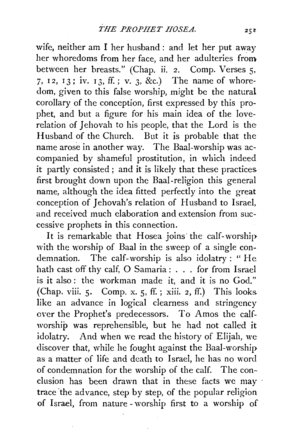wife, neither am I her husband : and let her put away her whoredoms from her face, and her adulteries from between her breasts." (Chap. ii. 2. Comp. Verses 5, 7, 12, 13; iv. 13, ff.; v. 3, &c.) The name of whoredom, given to this false worship, might be the natural corollary of the conception, first expressed by this prophet, and but a figure for his main idea of the loverelation of Jehovah to his people, that the Lord is the Husband of the Church. But it is probable that the name arose in another way. The Baal-worship was accompanied by shameful prostitution, in which indeed it partly consisted ; and it is likely that these practices first brought down upon the Baal-religion this general name, although the idea fitted perfectly into the great conception of Jehovah's relation of Husband to Israel, and received much elaboration and extension from successive prophets in this connection.

It is remarkable that Hosea joins the calf-worship with the worship of Baal in the sweep of a single condemnation. The calf-worship is also idolatry : " He hath cast off thy calf, 0 Samaria : ... for from Israel is it also : the workman made it, and it is no God." (Chap. viii.  $5.$  Comp. x.  $5, ff.$ ; xiii.  $2, ff.$ ) This looks like an advance in logical clearness and stringency over the Prophet's predecessors. To Amos the calfworship was reprehensible, but he had not called it idolatry. And when we read the history of Elijah, we discover that, while he fought against the Baal-worship as a matter of life and death to Israel, he has no word of condemnation for the worship of the calf. The conclusion has been drawn that in these facts we may · trace the advance, step by step, of the popular religion of Israel, from nature- worship first to a worship of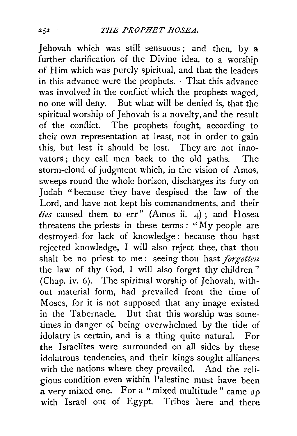Jehovah which was still sensuous; and then, by a further clarification of the Divine idea, to a worship of Him which was purely spiritual, and that the leaders in this advance were the prophets. · That this advance was involved in the conflict which the prophets waged, no one will deny. But what will be denied is, that the spiritual worship of Jehovah is a novelty, and the result of the conflict. The prophets fought, according to their own representation at least, not in order to gain this, but lest it should be lost. They are not innovators ; they call men back to the old paths. The storm-cloud of judgment which, in the vision of Amos. sweeps round the whole horizon, discharges its fury on Judah "because they have despised the law of the Lord, and have not kept his commandments, and their *lies* caused them to err" (Amos ii. 4); and Hosea threatens the priests in these terms : " $My$  people are destroyed for lack of knowledge : because thou hast rejected knowledge, I will also reject thee, that thou shalt be no priest to me: seeing thou hast *forgotten* the law of thy God, I will also forget thy children" (Chap. iv. 6). The spiritual worship of Jehovah, without material form, had prevailed from the time of Moses, for it is not supposed that any image existed in the Tabernacle. But that this worship was sometimes in danger of being overwhelmed by the tide of idolatry is certain, and is a thing quite natural. For the Israelites were surrounded on all sides by these idolatrous tendencies, and their kings sought alliances with the nations where they prevailed. And the religious condition even within Palestine must have been a very mixed one. For a" mixed multitude" came up with Israel out of Egypt. Tribes here and there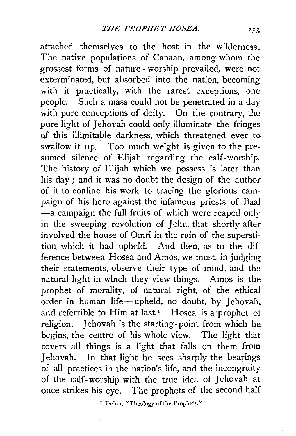attached themselves to the host in the wilderness. The native populations of Canaan, among whom the grossest forms of nature- worship prevailed, were not exterminated, but absorbed into the nation, becoming with it practically, with the rarest exceptions, one people. Such a mass could not be penetrated in a day with pure conceptions of deity. On the contrary, the pure light of Jehovah could only illuminate the fringes of this illimitable darkness, which threatened ever to swallow it up. Too much weight is given to the presumed silence of Elijah regarding the calf-worship. The history of Elijah which we possess is later than his day ; and it was no doubt the design of the author of it to confine his work to tracing the glorious campaign of his hero against the infamous priests of Baal -a campaign the full fruits of which were reaped only in the sweeping revolution of Jehu, that shortly after involved the house of Omri in the ruin of the superstition which it had upheld. And then, as to the difference between Hosea and Amos, we must, in judging their statements, observe their type of mind, and the natural light in which they view things. Amos is the prophet of morality, of natural right, of the ethical order in human life-upheld, no doubt, by Jehovah, and referrible to Him at last.<sup> $I$ </sup> Hosea is a prophet of religion. Jehovah is the starting-point from which he begins, the centre of his whole view. The light that covers all things is a light that falls on them from Jehovah. In that light he sees sharply the bearings. of all practices in the nation's life, and the incongruity of the calf-worship with the true idea of Jehovah at. once strikes his eye. The prophets of the second half

' Duhm, "Theology of the Prophets."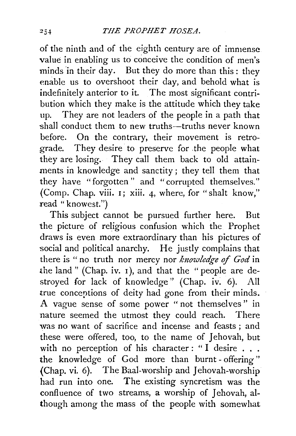of the ninth and of the eighth century are of immense value in enabling us to conceive the condition of men's minds in their day. But they do more than this : they enable us to overshoot their day, and behold what is indefinitely anterior to it. The most significant contribution which they make is the attitude which they take up. They are not leaders of the people in a path that shall conduct them to new truths-truths never known before. On the contrary, their movement is retrograde. They desire to preserve for .the people what they are losing. They call them back to old attainments in knowledge and sanctity; they tell them that they have "forgotten" and "corrupted themselves." (Comp. Chap. viii. 1; xiii. 4, where, for "shalt know," read "knowest.")

This subject cannot be pursued further here. But the picture of religious confusion \vhich the Prophet draws is even more extraordinary than his pictures of social and political anarchy. He justly complains that there is " no truth nor mercy nor *knowledge of God* in the land" (Chap. iv.  $i$ ), and that the "people are destroyed for lack of knowledge" (Chap. iv. 6). All true conceptions of deity had gone from their minds. A vague sense of some power " not themselves " in nature seemed the utmost they could reach. There was no want of sacrifice and incense and feasts ; and these were offered, too, to the name of Jehovah, but with no perception of his character : "I desire . . . the knowledge of God more than burnt- offering" (Chap. vi. 6). The Baal-worship and  $\overline{\text{lehov}}$  worship had run into one. The existing syncretism was the confluence of two streams, a worship of Jehovah, although among the mass of the people with somewhat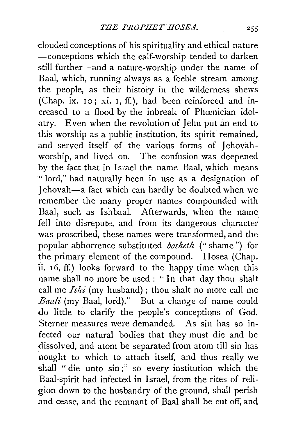clouded conceptions of his spirituality and ethical nature -conceptions which the calf-worship tended to darken still further-and a nature-worship under the name of Baal, which, running always as a feeble stream among the people, as their history in the wilderness shews (Chap. ix. IO; xi. I, ff.), had been reinforced and increased to a flood by the inbreak of Phœnician idolatry. Even when the revolution of Jelm put an end to this worship as a public institution, its spirit remained, and served itself of the various forms of Jehovahworship, and lived on. The confusion was deepened by the fact that in Israel the name Baal, which means "lord," had naturally been in use as a designation of Jehovah-a fact which can hardly be doubted when we remember the many proper names compounded with Baal, such as Ishbaal. Afterwards, when the name fell into disrepute, and from its dangerous character was proscribed, these names were transformed, and the popular abhorrence substituted *bosheth* (" shame'') for the primary element of the compound. Hosea (Chap. ii. 16, ff.) looks forward to the happy time when this name shall no more be used : "In that day thou shalt call me *Ishi* (my husband) ; thou shalt no more call me *Baali* (my Baal, lord)." But a change of name could do little to clarify the people's conceptions of God. Sterner measures were demanded. As sin has so infected our natural bodies that they must die and be dissolved, and atom be separated from atom till sin has nought to which to attach itself, and thus really we shall "die unto sin;" so every institution which the Baal-spirit had infected in Israel, from the rites of religion down to the husbandry of the ground, shall perish and cease, and the remnant of Baal shall be cut off, and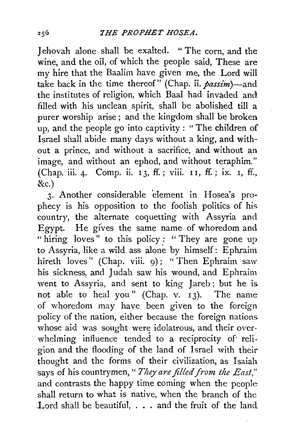Jehovah alone shall be exalted. "The corn, and the wine, and the oil, of which the people said, These are my hire that the Baalim have given me, the Lord will take back in the time thereof" (Chap. ii. *passim*)-and the institutes of religion, which Baal had invaded and filled with his unclean spirit, shall be abolished till a purer worship arise ; and the kingdom shall be broken up, and the people go into captivity : " The children of Israel shall abide many days without a king, and without a prince, and without a sacrifice, and without an image, and without an ephod, and without teraphim." (Chap. iii. 4. Comp. ii. 13, ff.; viii. 11, ff.; ix. 1, ff., &c.)

3. Another considerable element in Hosea's prophecy is his opposition to the foolish politics of his country, the alternate coquetting with Assyria and Egypt. He gives the same name of whoredom and " hiring loves" to this policy : " They are gone up to Assyria, like a wild ass alone by himself:  $\tilde{E}$ phraim hireth loves" (Chap. viii. 9); "Then Ephraim saw his sickness, and Judah saw his wound, and Ephraim went to Assyria, and sent to king Jareb; but he is not able to heal you" (Chap. v. 13). The name of whoredom may have been given to the foreign policy of the nation, either because the foreign nations whose aid was sought were idolatrous, and their overwhelming influence tended to a reciprocity of religion and the flooding of the land of Israel with theirthought and the forms of their civilization, as Isaiah says of his countrymen, " *They are filled from the East,"*  and contrasts the happy time coming when the people shall return to what is native, when the branch of the Lord shall be beautiful, . . . and the fruit of the land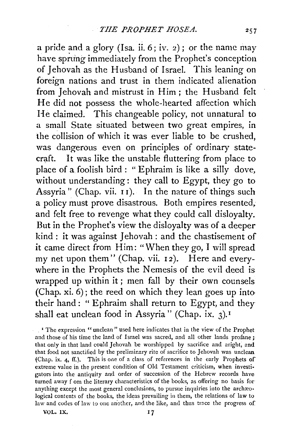a pride and a glory (Isa. ii.  $6$ ; iv. 2); or the name may have sprung immediately from the Prophet's conception of Jehovah as the Husband of Israel. This leaning on foreign nations and trust in them indicated alienation from Jehovah and mistrust in Him; the Husband felt He did not possess the whole-hearted affection which He claimed. This changeable policy, not unnatural to a small State situated between two great empires, in the collision of which it was ever liable to be crushed. was dangerous even on principles of ordinary statecraft. It was like the unstable fluttering from place to place of a foolish bird : "Ephraim is like a silly dove, without understanding: they call to Egypt, they go to Assyria" (Chap. vii. II). In the nature of things such a policy must prove disastrous. Both empires resented, and felt free to revenge what they could call disloyalty. But in the Prophet's view the disloyalty was of a deeper kind : it was against Jehovah : and the chastisement of it came direct from Him: "When they go, I will spread my net upon them" (Chap. vii. 12). Here and everywhere in the Prophets the Nemesis of the evil deed is wrapped up within it ; men fall by their own counsels (Chap. xi. 6); the reed on which they lean goes up into their hand: " Ephraim shall return to Egypt, and they shall eat unclean food in Assyria" (Chap. ix. 3).<sup>1</sup>

*'* The expression "unclean" used here indicates that in the view of the Prophet and those of his time the land of Israel was sacred, and all other lands profane ; that only in that land could Jehovah be worshipped by sacrifice and aright; and that food not sanctified by the preliminary rite of sacrifice to Jehovah was unclean (Chap. ix. 4, ff.). This is one of a class of references in the early Prophets of extreme value in the present condition of Old Testament criticism, when investi· gators into the antiquity and order of succession of the Hebrew records have turned away f om the literary characteristics of the books, as offering no basis for anything except the most general conclusions, to pursue inquiries into the archreo· logical contents of the books, the ideas prevailing in them, the relations of law to law and codes of law to one another, and the like, and thus trace the progress of

VOL. IX.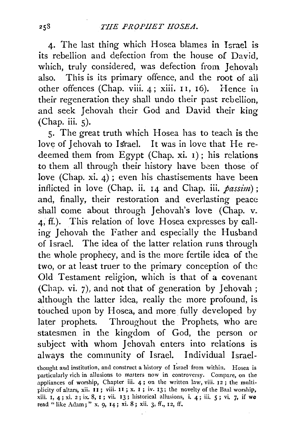4· The last thing which Hosea blames in Israel is its rebellion and defection from the house of David, which, truly considered, was defection from Jehovah also. This is its primary offence, and the root of all other offences (Chap. viii. 4; xiii. I 1, I6). Hence in their regeneration they shall undo their past rebellion, and seek Jehovah their God and David their king (Chap. iii. 5).

S· The great truth which Hosea has to teach is the love of Jehovah to Israel. It was in love that He redeemed them from Egypt (Chap. xi. I) ; his relations to them all through their history have been those of love (Chap. xi. 4) ; even his chastisements have been inflicted in love (Chap. ii.  $14$  and Chap. iii.  $p \text{a} s \text{b} i m$ ); and, finally, their restoration and everlasting peace shall come about through Jehovah's love (Chap. v. 4, ff.). This relation of love Hosea expresses by calling Jehovah the Father and especially the Husband of Israel. The idea of the latter relation runs through the whole prophecy, and is the more fertile idea of the two, or at least truer to the primary conception of the Old Testament religion, which is that of a covenant (Chap. vi. 7), and not that of generation by Jehovah ; although the latter idea, really the more profound, is touched upon by Hosea, and more fully developed by later prophets. Throughout the Prophets, who are statesmen in the kingdom of God, the person or subject with whom Jehovah enters into relations is always the community of Israel. Individual Israel-

thought and institution, and construct a history of Israel from within. Hosea is particularly rich in allusions to matters now in controversy. Compare, on the appliances of worship, Chapter iii. 4; on the written law, viii. 12; the multiplicity of altars, xii. 11 ; viii. II ; x. I ; iv. 13; the novelty of the Baal worship, xiii. 1, 4; xi. 2; ix. 8, I ; vii. 13; historical allusions, i. 4; iii. *5* ; vi. 7, if we read " like Adam; " x. 9, 14; xi. 8; xii. 3, ff., 12, ff.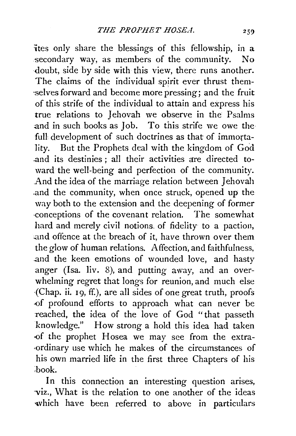ites only share the blessings of this fellowship, in a secondary way, as members of the community. No doubt, side by side with this view, there runs another. The claims of the individual spirit ever thrust them- ·.selves forward and become more pressing; and the fruit of this strife of the individual to attain and express his true relations to Jehovah we observe in the Psalms and in such books as Job. To this strife we owe the full development of such doctrines as that of immortality. But the Prophets deal with the kingdom of God. and its destinies ; all their activities are directed toward the well-being and perfection of the community. And the idea of the marriage relation between Jehovah .and the community, when once struck, opened *up* the way both to the extension and the deepening of former -conceptions of the covenant relation. The somewhat hard and merely civil notions. of fidelity to a paction, and offence at the breach of it, have thrown over them the glow of human relations. Affection, and faithfulness, .and the keen emotions of wounded love, and hasty anger (Isa. liv. 8), and putting away, and an overwhelming regret that longs for reunion, and much else {Chap. ii. 19, ff.), are all sides of one great truth, proofs of profound efforts to approach what can never be reached, the idea of the love of God " that passeth knowledge." How strong a hold this idea had taken -of the prophet Hosea we may see from the extra- ·ordinary use which he makes of the circumstances of his own married life in the first three Chapters of his ,book.

In this connection an interesting question arises, -viz., What is the relation to one another of the ideas which have been referred to above in particulars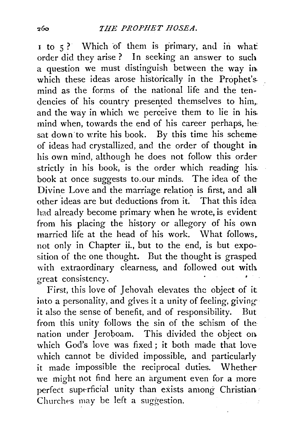I to  $5$ ? Which of them is primary, and in what order did they arise ? In seeking an answer to such a question we must distinguish between the way in. which these ideas arose historically in the Prophet's mind as the forms of the national life and the tendencies of his country presented themselves to him. and the way in which we perceive them to lie in his. mind when, towards the end of his career perhaps, he. sat down to write his book. By this time his scheme of ideas had crystallized, and the order of thought in. his own mind, although he does not follow this order strictly in his book, is the order which reading his. book at once suggests to.our minds. The idea of the Divine Love and the marriage relation is first, and all other ideas are but deductions from it." That this idea had already become primary when he wrote, is evident from his placing the history or allegory of his own married life at the head of his work. What follows. not only in Chapter ii., but to the end, is but exposition of the one thought. But the thought is grasped with extraordinary clearness, and followed out with. great consistency.

First, this love of Jehovah elevates the object of it into a personality, and gives it a unity of feeling, giving it also the sense of benefit, and of responsibility. But from this unity follows the sin of the schism of thenation under Jeroboam. This divided the object on which God's love was fixed; it both made that love which cannot be divided impossible, and particularly it made impossible the reciprocal duties. Whetherwe might not find here an argument even for a more perfect superficial unity than exists among Christian Churches may be left a suggestion.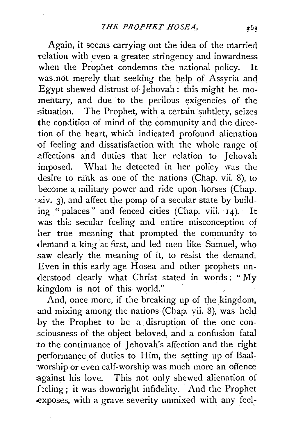Again, it seems carrying out the idea of the married relation with even a greater stringency and inwardness when the Prophet condemns the national policy. It was.not merely that seeking the help of Assyria and Egypt shewed distrust of 1 ehovah : this might be momentary, and due to the perilous exigencies of the situation. The Prophet, with a certain subtlety, seizes the condition of mind of the community and the direction of the heart, which indicated profound alienation 'Of feeling and dissatisfaction with the whole range of affections and duties that her relation to Jehovah imposed. What he detected in her policy was the desire to rank as one of the nations (Chap. vii. 8), to become a military power and ride upon horses (Chap. xiv. 3), and affect the pomp of a secular state by building." palaces" and fenced cities (Chap. viii. 14). It was this secular feeling and entire misconception of her true meaning that prompted the community to demand a king at first, and led men like Samuel, who saw clearly the meaning of it, to resist the demand. Even in this early age Hosea and other prophets understood clearly what Christ stated in words: "My kingdom is not of this world."

And, once more, if the breaking up of the kingdom, and mixing among the nations (Chap. vii. 8), was held by the Prophet to be a disruption of the one con-.sciousness of the object beloved, and a confusion fatal to the continuance of Jehovah's affection and the right performance of duties to Him, the setting up of Baalworship or even calf-worship was much more an offence against his love. This not only shewed alienation of feeling; it was downright infidelity. And the Prophet ~xposes, with a grave severity unmixed with any feel;-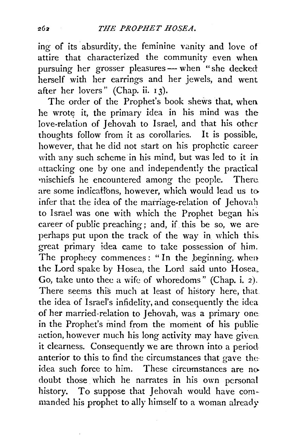ing of its absurdity, the feminine vanity and love of attire that characterized the community even when pursuing her grosser pleasures - when "she decked herself with her earrings and her jewels, and went after her lovers" (Chap. ii. 1 3).

The order of the Prophet's book shews that, when he wrote it, the primary idea in his mind was the love-relation of Jehovah to Israel, and that his other thoughts follow from it as corollaries. It is possible, however, that he did not start on his prophetic career with any such scheme in his mind, but was led to it in attacking one by one and independently the practical •nischiefs he encountered among the people. There are some indications, however, which would lead us to infer that the idea of the marriage-relation of Jehovah to Israel was one with which the Prophet began his career of public preaching; and, if this be so, we areperhaps put upon the track of the way in which this. great primary !dea came to take possession of him. The prophecy commences: "In the beginning, when the Lord spake by Hosea, the Lord said unto Hosea,. Go, take unto thee a wife of whoredoms" (Chap. i. 2). There seems this much at least of history here, that the idea of Israel's infidelity, and consequently the idea of her married-relation to Jehovah, was a primary one in the Prophet's mind from the moment of his public action, however much his long activity may have given. it clearness. Consequently we are thrown into a period anterior to this to find the circumstances that gave theidea such force to him. These circumstances are no doubt those which he narrates in his own personal history. To suppose that Jehovah would have commanded his prophet to ally himself to a woman already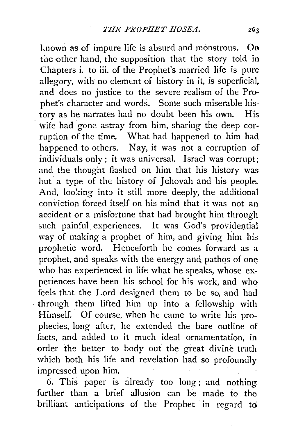tnown as of impure life is absurd and monstrous. On the other hand, the supposition that the story told in Chapters i. to iii. of the Prophet's married life is pure allegory, with no element of history in it, is superficial. and does no justice to the severe realism of the Prophet's character and words. Some such miserable history as he narrates had no doubt been his own. His wife had gone astray from him, sharing the deep corruption of the time. What had happened to him had happened to others. Nay, it was not a corruption of individuals only; it was universal. Israel was corrupt; and the thought flashed on him that his history was but a type of the history of Jehovah and his people. And, looking into it still more deeply, the additional conviction forced itself on his mind that it was not an accident or a misfortune that had brought him through such painful experiences. It was God's providential way of making a prophet of him, and giving him his prophetic word. Henceforth he comes forward as a prophet, and speaks with the energy and pathos of one who has experienced in life what he speaks, whose experiences have been his school for his work, and who feels that the Lord designed them to be so, and had through them lifted him up into a fellowship with Himself. Of course, when he came to write his prophecies, long after, he extended the bare outline of facts, and added to it much ideal ornamentation, in order the better to body out the great divine truth which both his life and revelation had so profoundly. impressed upon him.

6. This paper is already too long; and nothing further than a brief allusion can be made to the brilliant anticipations of the Prophet in regard to